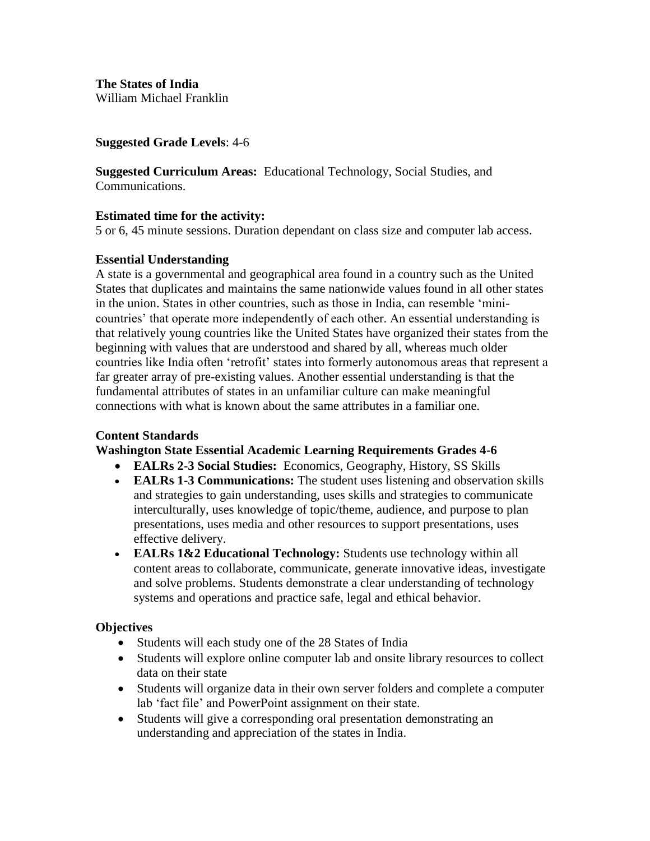**The States of India**  William Michael Franklin

#### **Suggested Grade Levels**: 4-6

**Suggested Curriculum Areas:** Educational Technology, Social Studies, and Communications.

#### **Estimated time for the activity:**

5 or 6, 45 minute sessions. Duration dependant on class size and computer lab access.

#### **Essential Understanding**

A state is a governmental and geographical area found in a country such as the United States that duplicates and maintains the same nationwide values found in all other states in the union. States in other countries, such as those in India, can resemble 'minicountries' that operate more independently of each other. An essential understanding is that relatively young countries like the United States have organized their states from the beginning with values that are understood and shared by all, whereas much older countries like India often 'retrofit' states into formerly autonomous areas that represent a far greater array of pre-existing values. Another essential understanding is that the fundamental attributes of states in an unfamiliar culture can make meaningful connections with what is known about the same attributes in a familiar one.

#### **Content Standards**

#### **Washington State Essential Academic Learning Requirements Grades 4-6**

- **EALRs 2-3 Social Studies:** Economics, Geography, History, SS Skills
- **EALRs 1-3 Communications:** The student uses listening and observation skills and strategies to gain understanding, uses skills and strategies to communicate interculturally, uses knowledge of topic/theme, audience, and purpose to plan presentations, uses media and other resources to support presentations, uses effective delivery.
- **EALRs 1&2 Educational Technology:** Students use technology within all content areas to collaborate, communicate, generate innovative ideas, investigate and solve problems. Students demonstrate a clear understanding of technology systems and operations and practice safe, legal and ethical behavior.

# **Objectives**

- Students will each study one of the 28 States of India
- Students will explore online computer lab and onsite library resources to collect data on their state
- Students will organize data in their own server folders and complete a computer lab 'fact file' and PowerPoint assignment on their state.
- Students will give a corresponding oral presentation demonstrating an understanding and appreciation of the states in India.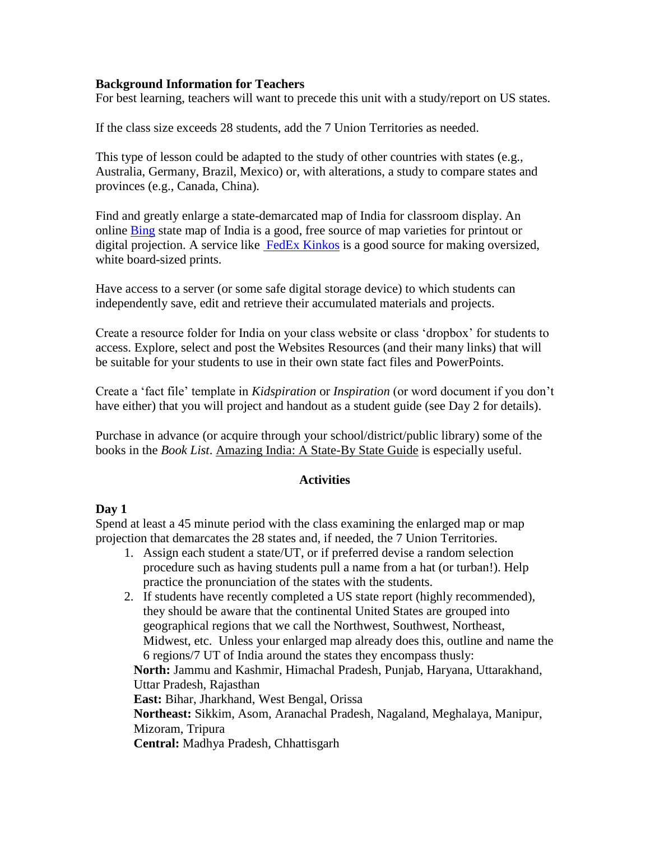#### **Background Information for Teachers**

For best learning, teachers will want to precede this unit with a study/report on US states.

If the class size exceeds 28 students, add the 7 Union Territories as needed.

This type of lesson could be adapted to the study of other countries with states (e.g., Australia, Germany, Brazil, Mexico) or, with alterations, a study to compare states and provinces (e.g., Canada, China).

Find and greatly enlarge a state-demarcated map of India for classroom display. An online [Bing](http://www.bing.com/images/search?q=state+maps+of+India&qpvt=state+maps+of+India) state map of India is a good, free source of map varieties for printout or digital projection. A service like [FedEx Kinkos](http://fedex.kinkos.com/fpfk/index.php) is a good source for making oversized, white board-sized prints.

Have access to a server (or some safe digital storage device) to which students can independently save, edit and retrieve their accumulated materials and projects.

Create a resource folder for India on your class website or class 'dropbox' for students to access. Explore, select and post the Websites Resources (and their many links) that will be suitable for your students to use in their own state fact files and PowerPoints.

Create a 'fact file' template in *Kidspiration* or *Inspiration* (or word document if you don't have either) that you will project and handout as a student guide (see Day 2 for details).

Purchase in advance (or acquire through your school/district/public library) some of the books in the *Book List*. Amazing India: A State-By State Guide is especially useful.

#### **Activities**

# **Day 1**

Spend at least a 45 minute period with the class examining the enlarged map or map projection that demarcates the 28 states and, if needed, the 7 Union Territories.

- 1. Assign each student a state/UT, or if preferred devise a random selection procedure such as having students pull a name from a hat (or turban!). Help practice the pronunciation of the states with the students.
- 2. If students have recently completed a US state report (highly recommended), they should be aware that the continental United States are grouped into geographical regions that we call the Northwest, Southwest, Northeast, Midwest, etc. Unless your enlarged map already does this, outline and name the 6 regions/7 UT of India around the states they encompass thusly: **North:** Jammu and Kashmir, Himachal Pradesh, Punjab, Haryana, Uttarakhand, Uttar Pradesh, Rajasthan **East:** Bihar, Jharkhand, West Bengal, Orissa **Northeast:** Sikkim, Asom, Aranachal Pradesh, Nagaland, Meghalaya, Manipur, Mizoram, Tripura **Central:** Madhya Pradesh, Chhattisgarh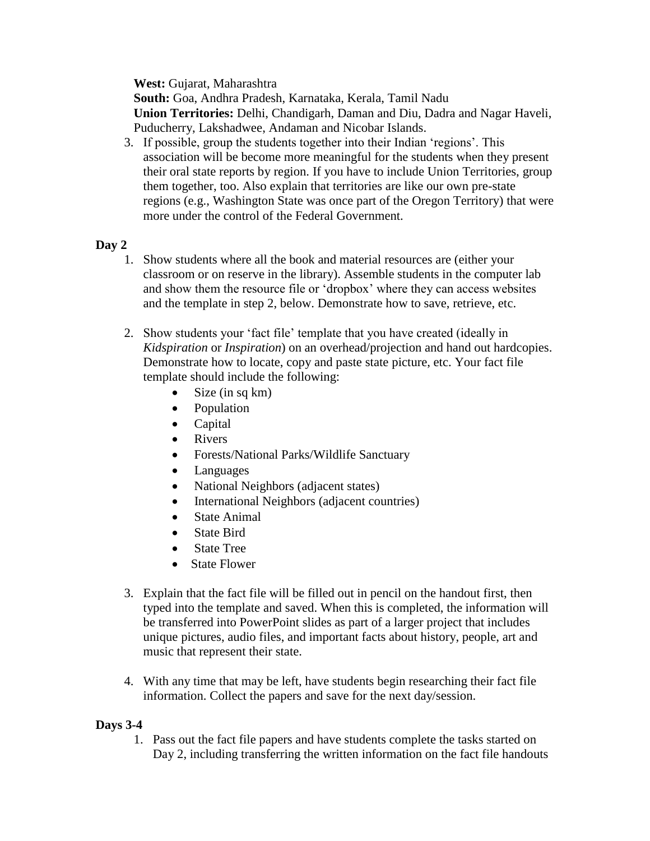**West:** Gujarat, Maharashtra

**South:** Goa, Andhra Pradesh, Karnataka, Kerala, Tamil Nadu **Union Territories:** Delhi, Chandigarh, Daman and Diu, Dadra and Nagar Haveli, Puducherry, Lakshadwee, Andaman and Nicobar Islands.

3. If possible, group the students together into their Indian 'regions'. This association will be become more meaningful for the students when they present their oral state reports by region. If you have to include Union Territories, group them together, too. Also explain that territories are like our own pre-state regions (e.g., Washington State was once part of the Oregon Territory) that were more under the control of the Federal Government.

# **Day 2**

- 1. Show students where all the book and material resources are (either your classroom or on reserve in the library). Assemble students in the computer lab and show them the resource file or 'dropbox' where they can access websites and the template in step 2, below. Demonstrate how to save, retrieve, etc.
- 2. Show students your 'fact file' template that you have created (ideally in *Kidspiration* or *Inspiration*) on an overhead/projection and hand out hardcopies. Demonstrate how to locate, copy and paste state picture, etc. Your fact file template should include the following:
	- $\bullet$  Size (in sq km)
	- Population
	- Capital
	- Rivers
	- Forests/National Parks/Wildlife Sanctuary
	- Languages
	- National Neighbors (adjacent states)
	- International Neighbors (adjacent countries)
	- State Animal
	- State Bird
	- State Tree
	- State Flower
- 3. Explain that the fact file will be filled out in pencil on the handout first, then typed into the template and saved. When this is completed, the information will be transferred into PowerPoint slides as part of a larger project that includes unique pictures, audio files, and important facts about history, people, art and music that represent their state.
- 4. With any time that may be left, have students begin researching their fact file information. Collect the papers and save for the next day/session.

# **Days 3-4**

1. Pass out the fact file papers and have students complete the tasks started on Day 2, including transferring the written information on the fact file handouts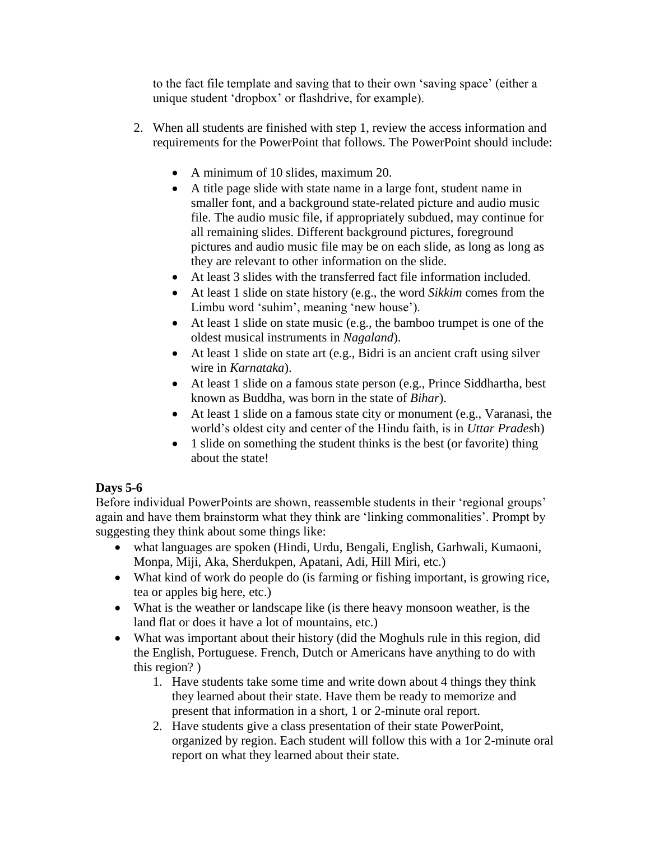to the fact file template and saving that to their own 'saving space' (either a unique student 'dropbox' or flashdrive, for example).

- 2. When all students are finished with step 1, review the access information and requirements for the PowerPoint that follows. The PowerPoint should include:
	- A minimum of 10 slides, maximum 20.
	- A title page slide with state name in a large font, student name in smaller font, and a background state-related picture and audio music file. The audio music file, if appropriately subdued, may continue for all remaining slides. Different background pictures, foreground pictures and audio music file may be on each slide, as long as long as they are relevant to other information on the slide.
	- At least 3 slides with the transferred fact file information included.
	- At least 1 slide on state history (e.g., the word *Sikkim* comes from the Limbu word 'suhim', meaning 'new house').
	- At least 1 slide on state music (e.g., the bamboo trumpet is one of the oldest musical instruments in *Nagaland*).
	- At least 1 slide on state art (e.g., Bidri is an ancient craft using silver wire in *Karnataka*).
	- At least 1 slide on a famous state person (e.g., Prince Siddhartha, best known as Buddha, was born in the state of *Bihar*).
	- At least 1 slide on a famous state city or monument (e.g., Varanasi, the world's oldest city and center of the Hindu faith, is in *Uttar Prades*h)
	- 1 slide on something the student thinks is the best (or favorite) thing about the state!

# **Days 5-6**

Before individual PowerPoints are shown, reassemble students in their 'regional groups' again and have them brainstorm what they think are 'linking commonalities'. Prompt by suggesting they think about some things like:

- what languages are spoken (Hindi, Urdu, Bengali, English, Garhwali, Kumaoni, Monpa, Miji, Aka, Sherdukpen, Apatani, Adi, Hill Miri, etc.)
- What kind of work do people do (is farming or fishing important, is growing rice, tea or apples big here, etc.)
- What is the weather or landscape like (is there heavy monsoon weather, is the land flat or does it have a lot of mountains, etc.)
- What was important about their history (did the Moghuls rule in this region, did the English, Portuguese. French, Dutch or Americans have anything to do with this region? )
	- 1. Have students take some time and write down about 4 things they think they learned about their state. Have them be ready to memorize and present that information in a short, 1 or 2-minute oral report.
	- 2. Have students give a class presentation of their state PowerPoint, organized by region. Each student will follow this with a 1or 2-minute oral report on what they learned about their state.